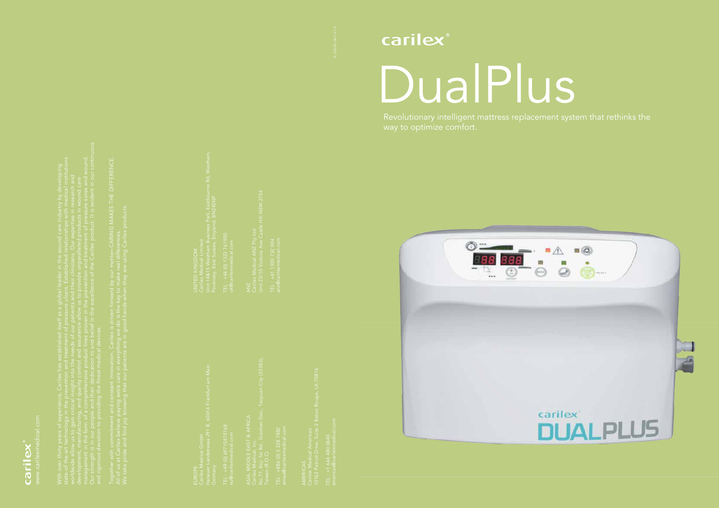

Revolutionary intelligent mattress replacement system that rethinks the way to optimize comfort.



 $\triangle$  $\blacksquare$  $\overline{\phantom{a}}$  $\frac{1}{\mathcal{Q}}$ 0 Carilex<br>DUALPLUS



With over thirty years of experience, Carilex has established itself as a global leader in the wound care industry by developing

Together with commitment and constant innovation, Carilex is driven forward by our motto CARING MAKES THE DIFFERENCE. We take pride and find joy knowing that our patients are in good hands when they are using Carilex products.

EUROPE Germany

TEL : +49 (0) 69710475168

ASIA, MIDDLE EAST & AFRICA No.77, Keji 1st Rd., Guishan Dist., Taoyuan City (33383), Taiwan (R.O.C)

TEL : +886 (0) 3 328 7882

Unit 23/10 Victoria Ave Castle Hill NSW 2154

TEL : +61 1300 732 004

AMERICAS Carilex Medical Americas

TEL : +1 646 480 0640

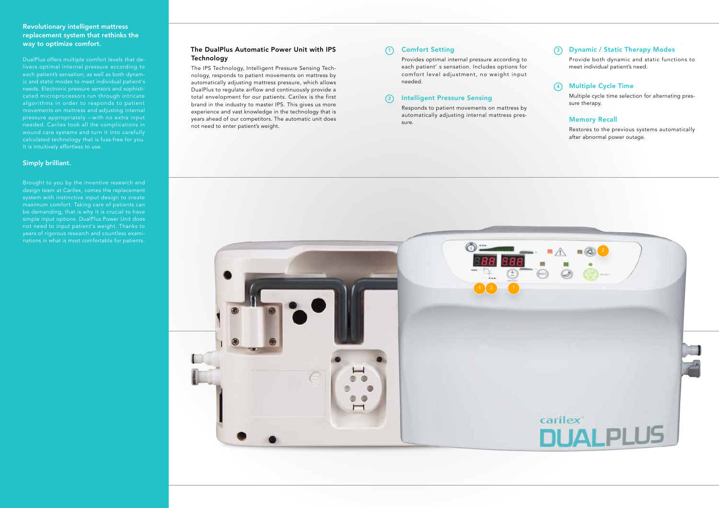### Revolutionary intelligent mattress replacement system that rethinks the way to optimize comfort.

DualPlus offers multiple comfort levels that delivers optimal internal pressure according to each patient's sensation; as well as both dynamic and static modes to meet individual patient's needs. Electronic pressure sensors and sophisticated microprocessors run through intricate algorithms in order to responds to patient movements on mattress and adjusting internal pressure appropriately -- with no extra input needed. Carilex took all the complications in wound care systems and turn it into carefully calculated technology that is fuss-free for you. It is intuitively effortless to use.

#### Multiple Cycle Time  $\left(4\right)$

#### Simply brilliant.

Brought to you by the inventive research and design team at Carilex, comes the replacement system with instinctive input design to create be demanding, that is why it is crucial to have simple input options. DualPlus Power Unit does not need to input patient's weight. Thanks to years of rigorous research and countless examinations in what is most comfortable for patients.

Provide both dynamic and static functions to meet individual patient's need.

# Dynamic / Static Therapy Modes 3

Multiple cycle time selection for alternating pressure therapy.

#### Memory Recall

Restores to the previous systems automatically after abnormal power outage.

## Comfort Setting

Provides optimal internal pressure according to each patient' s sensation. Includes options for comfort level adjustment, no weight input needed.

## 2) Intelligent Pressure Sensing

Responds to patient movements on mattress by automatically adjusting internal mattress pressure.

### The DualPlus Automatic Power Unit with IPS 1 Technology

The IPS Technology, Intelligent Pressure Sensing Technology, responds to patient movements on mattress by automatically adjusting mattress pressure, which allows DualPlus to regulate airflow and continuously provide a total envelopment for our patients. Carilex is the first brand in the industry to master IPS. This gives us more experience and vast knowledge in the technology that is years ahead of our competitors. The automatic unit does not need to enter patient's weight.

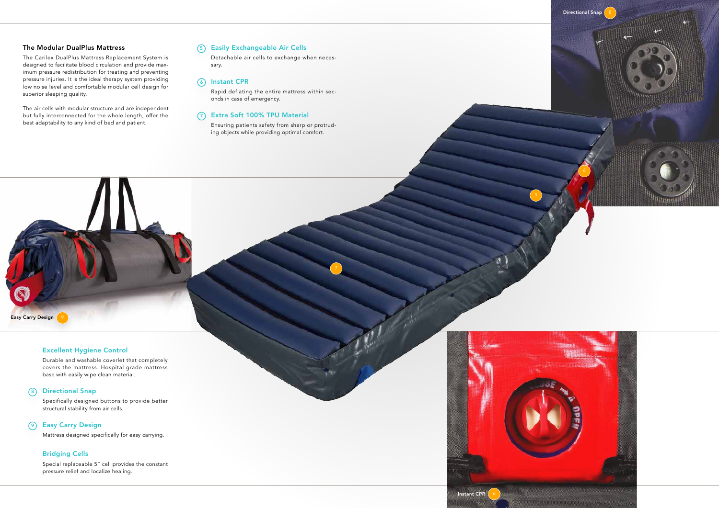#### Excellent Hygiene Control

Durable and washable coverlet that completely covers the mattress. Hospital grade mattress base with easily wipe clean material.

#### 8) Directional Snap

Easy Carry Design

Specifically designed buttons to provide better structural stability from air cells.

#### 9) Easy Carry Design

Mattress designed specifically for easy carrying.

#### Bridging Cells

Special replaceable 5" cell provides the constant pressure relief and localize healing.

Detachable air cells to exchange when necessary.

#### 6) Instant CPR

Rapid deflating the entire mattress within seconds in case of emergency.

#### 7) Extra Soft 100% TPU Material

Ensuring patients safety from sharp or protruding objects while providing optimal comfort.



#### The Modular DualPlus Mattress

The Carilex DualPlus Mattress Replacement System is designed to facilitate blood circulation and provide maximum pressure redistribution for treating and preventing pressure injuries. It is the ideal therapy system providing low noise level and comfortable modular cell design for superior sleeping quality.

The air cells with modular structure and are independent but fully interconnected for the whole length, offer the best adaptability to any kind of bed and patient.

#### 5) Easily Exchangeable Air Cells